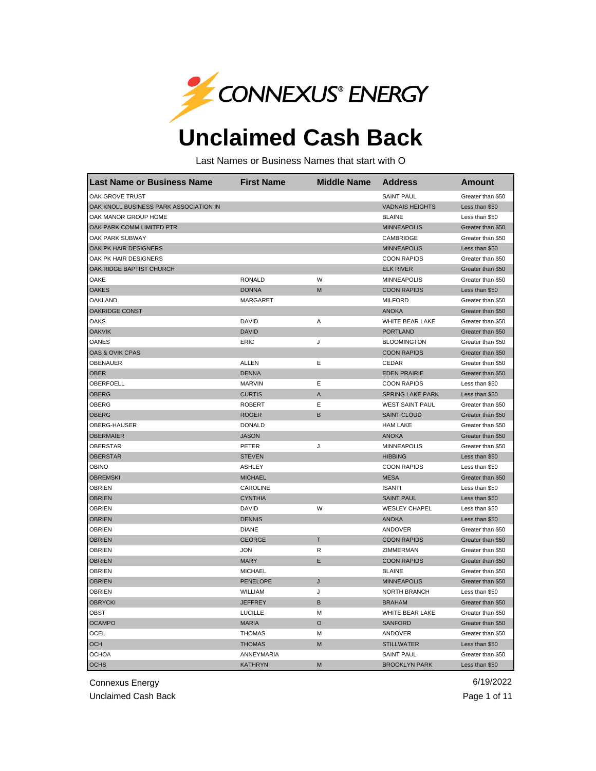

## **Unclaimed Cash Back**

Last Names or Business Names that start with O

| <b>Last Name or Business Name</b>      | <b>First Name</b> | <b>Middle Name</b> | <b>Address</b>          | <b>Amount</b>     |
|----------------------------------------|-------------------|--------------------|-------------------------|-------------------|
| OAK GROVE TRUST                        |                   |                    | <b>SAINT PAUL</b>       | Greater than \$50 |
| OAK KNOLL BUSINESS PARK ASSOCIATION IN |                   |                    | <b>VADNAIS HEIGHTS</b>  | Less than \$50    |
| OAK MANOR GROUP HOME                   |                   |                    | <b>BLAINE</b>           | Less than \$50    |
| OAK PARK COMM LIMITED PTR              |                   |                    | <b>MINNEAPOLIS</b>      | Greater than \$50 |
| OAK PARK SUBWAY                        |                   |                    | CAMBRIDGE               | Greater than \$50 |
| OAK PK HAIR DESIGNERS                  |                   |                    | <b>MINNEAPOLIS</b>      | Less than \$50    |
| OAK PK HAIR DESIGNERS                  |                   |                    | <b>COON RAPIDS</b>      | Greater than \$50 |
| OAK RIDGE BAPTIST CHURCH               |                   |                    | <b>ELK RIVER</b>        | Greater than \$50 |
| OAKE                                   | <b>RONALD</b>     | W                  | <b>MINNEAPOLIS</b>      | Greater than \$50 |
| <b>OAKES</b>                           | <b>DONNA</b>      | M                  | <b>COON RAPIDS</b>      | Less than \$50    |
| <b>OAKLAND</b>                         | MARGARET          |                    | <b>MILFORD</b>          | Greater than \$50 |
| <b>OAKRIDGE CONST</b>                  |                   |                    | <b>ANOKA</b>            | Greater than \$50 |
| OAKS                                   | <b>DAVID</b>      | Α                  | WHITE BEAR LAKE         | Greater than \$50 |
| <b>OAKVIK</b>                          | <b>DAVID</b>      |                    | <b>PORTLAND</b>         | Greater than \$50 |
| <b>OANES</b>                           | ERIC              | J                  | <b>BLOOMINGTON</b>      | Greater than \$50 |
| OAS & OVIK CPAS                        |                   |                    | <b>COON RAPIDS</b>      | Greater than \$50 |
| <b>OBENAUER</b>                        | <b>ALLEN</b>      | Ε                  | CEDAR                   | Greater than \$50 |
| <b>OBER</b>                            | <b>DENNA</b>      |                    | <b>EDEN PRAIRIE</b>     | Greater than \$50 |
| OBERFOELL                              | <b>MARVIN</b>     | Ε                  | <b>COON RAPIDS</b>      | Less than \$50    |
| <b>OBERG</b>                           | <b>CURTIS</b>     | A                  | <b>SPRING LAKE PARK</b> | Less than \$50    |
| OBERG                                  | <b>ROBERT</b>     | E                  | <b>WEST SAINT PAUL</b>  | Greater than \$50 |
| <b>OBERG</b>                           | <b>ROGER</b>      | B                  | <b>SAINT CLOUD</b>      | Greater than \$50 |
| OBERG-HAUSER                           | <b>DONALD</b>     |                    | <b>HAM LAKE</b>         | Greater than \$50 |
| <b>OBERMAIER</b>                       | <b>JASON</b>      |                    | <b>ANOKA</b>            | Greater than \$50 |
| <b>OBERSTAR</b>                        | PETER             | J                  | <b>MINNEAPOLIS</b>      | Greater than \$50 |
| <b>OBERSTAR</b>                        | <b>STEVEN</b>     |                    | <b>HIBBING</b>          | Less than \$50    |
| OBINO                                  | <b>ASHLEY</b>     |                    | <b>COON RAPIDS</b>      | Less than \$50    |
| <b>OBREMSKI</b>                        | <b>MICHAEL</b>    |                    | <b>MESA</b>             | Greater than \$50 |
| <b>OBRIEN</b>                          | CAROLINE          |                    | <b>ISANTI</b>           | Less than \$50    |
| <b>OBRIEN</b>                          | <b>CYNTHIA</b>    |                    | <b>SAINT PAUL</b>       | Less than \$50    |
| <b>OBRIEN</b>                          | <b>DAVID</b>      | W                  | <b>WESLEY CHAPEL</b>    | Less than \$50    |
| <b>OBRIEN</b>                          | <b>DENNIS</b>     |                    | <b>ANOKA</b>            | Less than \$50    |
| <b>OBRIEN</b>                          | <b>DIANE</b>      |                    | ANDOVER                 | Greater than \$50 |
| <b>OBRIEN</b>                          | <b>GEORGE</b>     | T                  | <b>COON RAPIDS</b>      | Greater than \$50 |
| <b>OBRIEN</b>                          | <b>JON</b>        | R                  | ZIMMERMAN               | Greater than \$50 |
| <b>OBRIEN</b>                          | <b>MARY</b>       | Ε                  | <b>COON RAPIDS</b>      | Greater than \$50 |
| <b>OBRIEN</b>                          | <b>MICHAEL</b>    |                    | <b>BLAINE</b>           | Greater than \$50 |
| <b>OBRIEN</b>                          | <b>PENELOPE</b>   | J                  | <b>MINNEAPOLIS</b>      | Greater than \$50 |
| <b>OBRIEN</b>                          | WILLIAM           | J                  | <b>NORTH BRANCH</b>     | Less than \$50    |
| <b>OBRYCKI</b>                         | <b>JEFFREY</b>    | B                  | <b>BRAHAM</b>           | Greater than \$50 |
| <b>OBST</b>                            | <b>LUCILLE</b>    | М                  | WHITE BEAR LAKE         | Greater than \$50 |
| <b>OCAMPO</b>                          | <b>MARIA</b>      | O                  | <b>SANFORD</b>          | Greater than \$50 |
| OCEL                                   | <b>THOMAS</b>     | М                  | <b>ANDOVER</b>          | Greater than \$50 |
| <b>OCH</b>                             | <b>THOMAS</b>     | M                  | <b>STILLWATER</b>       | Less than \$50    |
| <b>OCHOA</b>                           | ANNEYMARIA        |                    | <b>SAINT PAUL</b>       | Greater than \$50 |
| <b>OCHS</b>                            | <b>KATHRYN</b>    | M                  | <b>BROOKLYN PARK</b>    | Less than \$50    |

Connexus Energy 6/19/2022

Unclaimed Cash Back **Page 1 of 11**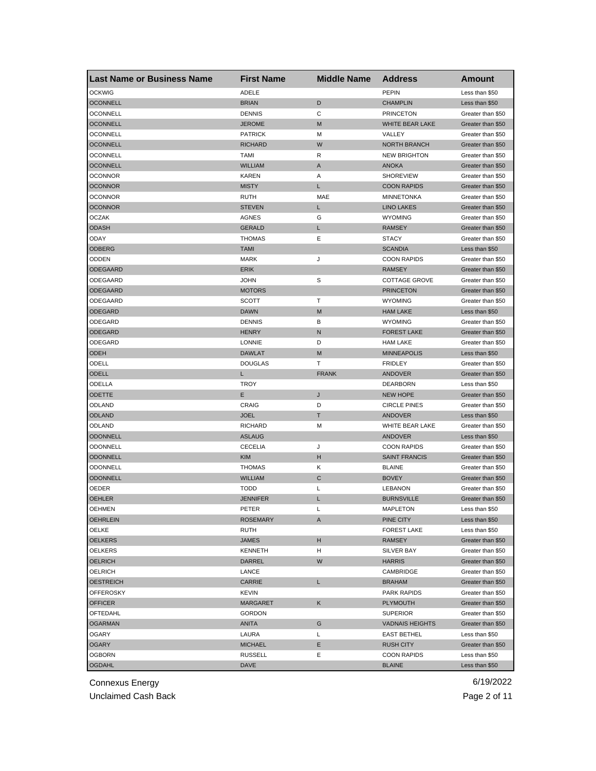| <b>Last Name or Business Name</b> | <b>First Name</b>           | <b>Middle Name</b> | <b>Address</b>                 | <b>Amount</b>                       |
|-----------------------------------|-----------------------------|--------------------|--------------------------------|-------------------------------------|
| <b>OCKWIG</b>                     | ADELE                       |                    | <b>PEPIN</b>                   | Less than \$50                      |
| <b>OCONNELL</b>                   | <b>BRIAN</b>                | D                  | <b>CHAMPLIN</b>                | Less than \$50                      |
| <b>OCONNELL</b>                   | <b>DENNIS</b>               | С                  | <b>PRINCETON</b>               | Greater than \$50                   |
| <b>OCONNELL</b>                   | <b>JEROME</b>               | M                  | WHITE BEAR LAKE                | Greater than \$50                   |
| <b>OCONNELL</b>                   | <b>PATRICK</b>              | M                  | VALLEY                         | Greater than \$50                   |
| <b>OCONNELL</b>                   | <b>RICHARD</b>              | W                  | <b>NORTH BRANCH</b>            | Greater than \$50                   |
| <b>OCONNELL</b>                   | <b>TAMI</b>                 | R                  | <b>NEW BRIGHTON</b>            | Greater than \$50                   |
| <b>OCONNELL</b>                   | <b>WILLIAM</b>              | A                  | <b>ANOKA</b>                   | Greater than \$50                   |
| <b>OCONNOR</b>                    | <b>KAREN</b>                | Α                  | <b>SHOREVIEW</b>               | Greater than \$50                   |
| <b>OCONNOR</b>                    | <b>MISTY</b>                | L                  | <b>COON RAPIDS</b>             | Greater than \$50                   |
| OCONNOR                           | <b>RUTH</b>                 | MAE                | <b>MINNETONKA</b>              | Greater than \$50                   |
| <b>OCONNOR</b>                    | <b>STEVEN</b>               | L                  | <b>LINO LAKES</b>              | Greater than \$50                   |
| OCZAK                             | AGNES                       | G                  | <b>WYOMING</b>                 | Greater than \$50                   |
| <b>ODASH</b>                      | <b>GERALD</b>               | L                  | <b>RAMSEY</b>                  | Greater than \$50                   |
| ODAY                              | <b>THOMAS</b>               | Ε                  | <b>STACY</b>                   | Greater than \$50                   |
| ODBERG                            | <b>TAMI</b>                 |                    | <b>SCANDIA</b>                 | Less than \$50                      |
| ODDEN                             | <b>MARK</b>                 | J                  | <b>COON RAPIDS</b>             | Greater than \$50                   |
| ODEGAARD                          | <b>ERIK</b>                 |                    | <b>RAMSEY</b>                  | Greater than \$50                   |
| ODEGAARD                          | <b>JOHN</b>                 | S                  | <b>COTTAGE GROVE</b>           | Greater than \$50                   |
| ODEGAARD                          | <b>MOTORS</b>               |                    | <b>PRINCETON</b>               | Greater than \$50                   |
| ODEGAARD                          | SCOTT                       | т                  | <b>WYOMING</b>                 | Greater than \$50                   |
| ODEGARD                           | <b>DAWN</b>                 | M                  | <b>HAM LAKE</b>                | Less than \$50                      |
| ODEGARD                           | <b>DENNIS</b>               | в                  | <b>WYOMING</b>                 | Greater than \$50                   |
| ODEGARD                           | <b>HENRY</b>                | N                  | <b>FOREST LAKE</b>             | Greater than \$50                   |
| ODEGARD                           | LONNIE                      | D                  | <b>HAM LAKE</b>                | Greater than \$50                   |
| ODEH                              | <b>DAWLAT</b>               | M                  | <b>MINNEAPOLIS</b>             | Less than \$50                      |
| ODELL                             | <b>DOUGLAS</b>              | т                  | <b>FRIDLEY</b>                 | Greater than \$50                   |
| ODELL                             | L                           | <b>FRANK</b>       | ANDOVER                        | Greater than \$50                   |
| ODELLA                            | <b>TROY</b>                 |                    | <b>DEARBORN</b>                | Less than \$50                      |
| <b>ODETTE</b>                     | Е                           | J                  | <b>NEW HOPE</b>                | Greater than \$50                   |
|                                   |                             |                    |                                |                                     |
| ODLAND<br><b>ODLAND</b>           | <b>CRAIG</b><br><b>JOEL</b> | D<br>т             | <b>CIRCLE PINES</b><br>ANDOVER | Greater than \$50<br>Less than \$50 |
|                                   |                             |                    |                                |                                     |
| ODLAND<br><b>ODONNELL</b>         | <b>RICHARD</b>              | М                  | WHITE BEAR LAKE                | Greater than \$50                   |
|                                   | <b>ASLAUG</b>               |                    | <b>ANDOVER</b>                 | Less than \$50                      |
| ODONNELL                          | <b>CECELIA</b>              | J                  | <b>COON RAPIDS</b>             | Greater than \$50                   |
| <b>ODONNELL</b>                   | <b>KIM</b>                  | н                  | <b>SAINT FRANCIS</b>           | Greater than \$50                   |
| ODONNELL                          | <b>THOMAS</b>               | Κ                  | <b>BLAINE</b>                  | Greater than \$50                   |
| <b>ODONNELL</b>                   | <b>WILLIAM</b>              | C                  | <b>BOVEY</b>                   | Greater than \$50                   |
| OEDER                             | <b>TODD</b>                 | L                  | <b>LEBANON</b>                 | Greater than \$50                   |
| <b>OEHLER</b>                     | <b>JENNIFER</b>             | L                  | <b>BURNSVILLE</b>              | Greater than \$50                   |
| OEHMEN                            | PEIER                       | L                  | MAPLE I ON                     | Less than \$50                      |
| <b>OEHRLEIN</b>                   | <b>ROSEMARY</b>             | A                  | PINE CITY                      | Less than \$50                      |
| OELKE                             | RUTH                        |                    | <b>FOREST LAKE</b>             | Less than \$50                      |
| OELKERS                           | JAMES                       | н                  | RAMSEY                         | Greater than \$50                   |
| OELKERS                           | <b>KENNETH</b>              | н                  | SILVER BAY                     | Greater than \$50                   |
| <b>OELRICH</b>                    | DARREL                      | W                  | <b>HARRIS</b>                  | Greater than \$50                   |
| OELRICH                           | LANCE                       |                    | CAMBRIDGE                      | Greater than \$50                   |
| <b>OESTREICH</b>                  | CARRIE                      | L.                 | <b>BRAHAM</b>                  | Greater than \$50                   |
| OFFEROSKY                         | KEVIN                       |                    | <b>PARK RAPIDS</b>             | Greater than \$50                   |
| <b>OFFICER</b>                    | MARGARET                    | Κ                  | <b>PLYMOUTH</b>                | Greater than \$50                   |
| OFTEDAHL                          | GORDON                      |                    | <b>SUPERIOR</b>                | Greater than \$50                   |
| <b>OGARMAN</b>                    | ANITA                       | G                  | <b>VADNAIS HEIGHTS</b>         | Greater than \$50                   |
| OGARY                             | LAURA                       | L                  | <b>EAST BETHEL</b>             | Less than \$50                      |
| OGARY                             | <b>MICHAEL</b>              | Е                  | <b>RUSH CITY</b>               | Greater than \$50                   |
| <b>OGBORN</b>                     | <b>RUSSELL</b>              | Ε                  | <b>COON RAPIDS</b>             | Less than \$50                      |
| <b>OGDAHL</b>                     | <b>DAVE</b>                 |                    | <b>BLAINE</b>                  | Less than \$50                      |

Unclaimed Cash Back **Page 2 of 11**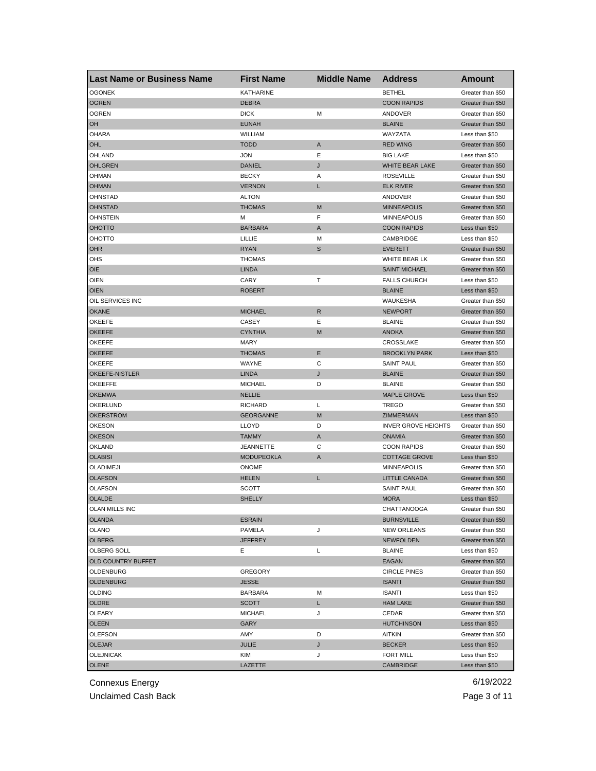| <b>Last Name or Business Name</b> | <b>First Name</b> | <b>Middle Name</b> | <b>Address</b>             | Amount                              |
|-----------------------------------|-------------------|--------------------|----------------------------|-------------------------------------|
| <b>OGONEK</b>                     | KATHARINE         |                    | <b>BETHEL</b>              | Greater than \$50                   |
| <b>OGREN</b>                      | <b>DEBRA</b>      |                    | <b>COON RAPIDS</b>         | Greater than \$50                   |
| OGREN                             | <b>DICK</b>       | M                  | ANDOVER                    | Greater than \$50                   |
| OH                                | <b>EUNAH</b>      |                    | <b>BLAINE</b>              | Greater than \$50                   |
| OHARA                             | WILLIAM           |                    | WAYZATA                    | Less than \$50                      |
| OHL                               | <b>TODD</b>       | Α                  | <b>RED WING</b>            | Greater than \$50                   |
| OHLAND                            | <b>JON</b>        | Е                  | <b>BIG LAKE</b>            | Less than \$50                      |
| <b>OHLGREN</b>                    | <b>DANIEL</b>     | J                  | WHITE BEAR LAKE            | Greater than \$50                   |
| OHMAN                             | <b>BECKY</b>      | Α                  | <b>ROSEVILLE</b>           | Greater than \$50                   |
| <b>OHMAN</b>                      | <b>VERNON</b>     | L                  | <b>ELK RIVER</b>           | Greater than \$50                   |
| OHNSTAD                           | <b>ALTON</b>      |                    | ANDOVER                    | Greater than \$50                   |
| <b>OHNSTAD</b>                    | <b>THOMAS</b>     | M                  | <b>MINNEAPOLIS</b>         | Greater than \$50                   |
| OHNSTEIN                          | M                 | F                  | <b>MINNEAPOLIS</b>         | Greater than \$50                   |
| <b>OHOTTO</b>                     | <b>BARBARA</b>    | A                  | <b>COON RAPIDS</b>         | Less than \$50                      |
| OHOTTO                            | LILLIE            | М                  | CAMBRIDGE                  | Less than \$50                      |
| OHR                               | <b>RYAN</b>       | $\mathbb S$        | <b>EVERETT</b>             | Greater than \$50                   |
| OHS                               | <b>THOMAS</b>     |                    | WHITE BEAR LK              | Greater than \$50                   |
| OIE                               | <b>LINDA</b>      |                    | <b>SAINT MICHAEL</b>       | Greater than \$50                   |
| OIEN                              | CARY              | т                  | <b>FALLS CHURCH</b>        | Less than \$50                      |
| <b>OIEN</b>                       | <b>ROBERT</b>     |                    | <b>BLAINE</b>              | Less than \$50                      |
| OIL SERVICES INC                  |                   |                    | <b>WAUKESHA</b>            | Greater than \$50                   |
| <b>OKANE</b>                      | <b>MICHAEL</b>    | $\mathsf{R}$       | <b>NEWPORT</b>             | Greater than \$50                   |
| OKEEFE                            | CASEY             | Ε                  | <b>BLAINE</b>              | Greater than \$50                   |
| <b>OKEEFE</b>                     | <b>CYNTHIA</b>    | M                  | <b>ANOKA</b>               | Greater than \$50                   |
| OKEEFE                            | <b>MARY</b>       |                    | CROSSLAKE                  | Greater than \$50                   |
| OKEEFE                            | <b>THOMAS</b>     | Ε                  | <b>BROOKLYN PARK</b>       | Less than \$50                      |
| OKEEFE                            | WAYNE             | С                  | <b>SAINT PAUL</b>          | Greater than \$50                   |
| OKEEFE-NISTLER                    | <b>LINDA</b>      | J                  | <b>BLAINE</b>              | Greater than \$50                   |
| OKEEFFE                           | <b>MICHAEL</b>    | D                  | <b>BLAINE</b>              | Greater than \$50                   |
| <b>OKEMWA</b>                     | <b>NELLIE</b>     |                    | <b>MAPLE GROVE</b>         | Less than \$50                      |
| OKERLUND                          | <b>RICHARD</b>    | L                  | <b>TREGO</b>               | Greater than \$50                   |
| <b>OKERSTROM</b>                  | <b>GEORGANNE</b>  | M                  | ZIMMERMAN                  | Less than \$50                      |
| OKESON                            | <b>LLOYD</b>      | D                  | <b>INVER GROVE HEIGHTS</b> | Greater than \$50                   |
| <b>OKESON</b>                     | <b>TAMMY</b>      | A                  | <b>ONAMIA</b>              | Greater than \$50                   |
| OKLAND                            | <b>JEANNETTE</b>  | C                  | <b>COON RAPIDS</b>         | Greater than \$50                   |
| <b>OLABISI</b>                    | <b>MODUPEOKLA</b> | A                  | <b>COTTAGE GROVE</b>       | Less than \$50                      |
| OLADIMEJI                         | <b>ONOME</b>      |                    | <b>MINNEAPOLIS</b>         | Greater than \$50                   |
| <b>OLAFSON</b>                    | <b>HELEN</b>      | L                  | LITTLE CANADA              | Greater than \$50                   |
| <b>OLAFSON</b>                    | SCOTT             |                    | <b>SAINT PAUL</b>          | Greater than \$50                   |
| <b>OLALDE</b>                     | <b>SHELLY</b>     |                    | <b>MORA</b>                | Less than \$50                      |
| OLAN MILLS INC                    |                   |                    | CHAI LANOOGA               | Greater than \$50                   |
| <b>OLANDA</b>                     | <b>ESRAIN</b>     |                    | <b>BURNSVILLE</b>          | Greater than \$50                   |
| OLANO                             | PAMELA            | J                  | <b>NEW ORLEANS</b>         | Greater than \$50                   |
| OLBERG                            | <b>JEFFREY</b>    |                    | <b>NEWFOLDEN</b>           | Greater than \$50                   |
| OLBERG SOLL                       | Е                 | L                  | <b>BLAINE</b>              | Less than \$50                      |
| OLD COUNTRY BUFFET                |                   |                    | EAGAN                      | Greater than \$50                   |
| OLDENBURG                         | <b>GREGORY</b>    |                    |                            |                                     |
|                                   |                   |                    | <b>CIRCLE PINES</b>        | Greater than \$50                   |
| OLDENBURG                         | <b>JESSE</b>      |                    | <b>ISANTI</b>              | Greater than \$50<br>Less than \$50 |
| OLDING                            | <b>BARBARA</b>    | М                  | <b>ISANTI</b>              |                                     |
| OLDRE                             | <b>SCOTT</b>      | L                  | <b>HAM LAKE</b>            | Greater than \$50                   |
| OLEARY                            | <b>MICHAEL</b>    | J                  | CEDAR                      | Greater than \$50                   |
| <b>OLEEN</b>                      | GARY              |                    | <b>HUTCHINSON</b>          | Less than \$50                      |
| OLEFSON                           | AMY               | D                  | AITKIN                     | Greater than \$50                   |
| OLEJAR                            | JULIE             | J                  | <b>BECKER</b>              | Less than \$50                      |
| <b>OLEJNICAK</b>                  | KIM               | J                  | <b>FORT MILL</b>           | Less than \$50                      |
| <b>OLENE</b>                      | LAZETTE           |                    | CAMBRIDGE                  | Less than \$50                      |

Unclaimed Cash Back **Page 3 of 11**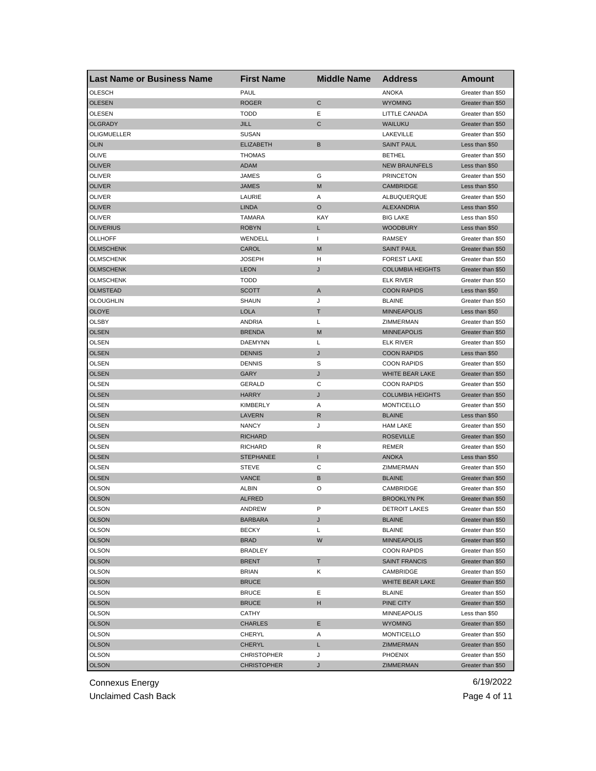| <b>Last Name or Business Name</b> | <b>First Name</b>  | <b>Middle Name</b> | <b>Address</b>          | <b>Amount</b>     |
|-----------------------------------|--------------------|--------------------|-------------------------|-------------------|
| <b>OLESCH</b>                     | PAUL               |                    | <b>ANOKA</b>            | Greater than \$50 |
| <b>OLESEN</b>                     | <b>ROGER</b>       | С                  | <b>WYOMING</b>          | Greater than \$50 |
| OLESEN                            | <b>TODD</b>        | Е                  | LITTLE CANADA           | Greater than \$50 |
| <b>OLGRADY</b>                    | <b>JILL</b>        | С                  | WAILUKU                 | Greater than \$50 |
| OLIGMUELLER                       | SUSAN              |                    | LAKEVILLE               | Greater than \$50 |
| <b>OLIN</b>                       | <b>ELIZABETH</b>   | B                  | <b>SAINT PAUL</b>       | Less than \$50    |
| OLIVE                             | <b>THOMAS</b>      |                    | <b>BETHEL</b>           | Greater than \$50 |
| <b>OLIVER</b>                     | ADAM               |                    | <b>NEW BRAUNFELS</b>    | Less than \$50    |
| OLIVER                            | JAMES              | G                  | <b>PRINCETON</b>        | Greater than \$50 |
| <b>OLIVER</b>                     | <b>JAMES</b>       | M                  | <b>CAMBRIDGE</b>        | Less than \$50    |
| OLIVER                            | LAURIE             | Α                  | ALBUQUERQUE             | Greater than \$50 |
| <b>OLIVER</b>                     | LINDA              | O                  | ALEXANDRIA              | Less than \$50    |
| OLIVER                            | TAMARA             | KAY                | <b>BIG LAKE</b>         | Less than \$50    |
| <b>OLIVERIUS</b>                  | <b>ROBYN</b>       | L                  | <b>WOODBURY</b>         | Less than \$50    |
| OLLHOFF                           | WENDELL            | $\mathbf{I}$       | <b>RAMSEY</b>           | Greater than \$50 |
| <b>OLMSCHENK</b>                  | CAROL              | M                  | <b>SAINT PAUL</b>       | Greater than \$50 |
| OLMSCHENK                         | <b>JOSEPH</b>      | н                  | <b>FOREST LAKE</b>      | Greater than \$50 |
| <b>OLMSCHENK</b>                  | <b>LEON</b>        | J                  | <b>COLUMBIA HEIGHTS</b> | Greater than \$50 |
| OLMSCHENK                         | <b>TODD</b>        |                    | ELK RIVER               | Greater than \$50 |
| <b>OLMSTEAD</b>                   | <b>SCOTT</b>       | Α                  | <b>COON RAPIDS</b>      | Less than \$50    |
| <b>OLOUGHLIN</b>                  | SHAUN              | J                  | <b>BLAINE</b>           | Greater than \$50 |
| <b>OLOYE</b>                      | LOLA               | т                  | <b>MINNEAPOLIS</b>      | Less than \$50    |
| <b>OLSBY</b>                      | <b>ANDRIA</b>      | Г                  | ZIMMERMAN               | Greater than \$50 |
| <b>OLSEN</b>                      | <b>BRENDA</b>      | M                  | <b>MINNEAPOLIS</b>      | Greater than \$50 |
| OLSEN                             | <b>DAEMYNN</b>     | Г                  | <b>ELK RIVER</b>        | Greater than \$50 |
| <b>OLSEN</b>                      | <b>DENNIS</b>      | J                  | <b>COON RAPIDS</b>      | Less than \$50    |
| OLSEN                             | <b>DENNIS</b>      | S                  | <b>COON RAPIDS</b>      | Greater than \$50 |
| <b>OLSEN</b>                      | GARY               | J                  | WHITE BEAR LAKE         | Greater than \$50 |
| OLSEN                             | GERALD             | С                  | <b>COON RAPIDS</b>      | Greater than \$50 |
| <b>OLSEN</b>                      | <b>HARRY</b>       | J                  | <b>COLUMBIA HEIGHTS</b> | Greater than \$50 |
| OLSEN                             | KIMBERLY           | Α                  | <b>MONTICELLO</b>       | Greater than \$50 |
| <b>OLSEN</b>                      | LAVERN             | R                  | <b>BLAINE</b>           | Less than \$50    |
| OLSEN                             | <b>NANCY</b>       | J                  | <b>HAM LAKE</b>         | Greater than \$50 |
| <b>OLSEN</b>                      | <b>RICHARD</b>     |                    | <b>ROSEVILLE</b>        | Greater than \$50 |
| OLSEN                             | RICHARD            | R                  | REMER                   | Greater than \$50 |
| <b>OLSEN</b>                      | <b>STEPHANEE</b>   | T                  | <b>ANOKA</b>            | Less than \$50    |
| <b>OLSEN</b>                      | <b>STEVE</b>       | С                  | <b>ZIMMERMAN</b>        | Greater than \$50 |
| <b>OLSEN</b>                      | VANCE              | В                  | <b>BLAINE</b>           | Greater than \$50 |
| <b>OLSON</b>                      | ALBIN              | O                  | CAMBRIDGE               | Greater than \$50 |
| <b>OLSON</b>                      | <b>ALFRED</b>      |                    | <b>BROOKLYN PK</b>      | Greater than \$50 |
| OLSON                             | ANDREW             | ۲                  | DETROIT LAKES           | Greater than \$50 |
| <b>OLSON</b>                      | <b>BARBARA</b>     | J                  | <b>BLAINE</b>           | Greater than \$50 |
| OLSON                             | <b>BECKY</b>       | Г                  | <b>BLAINE</b>           | Greater than \$50 |
| <b>OLSON</b>                      | <b>BRAD</b>        | ${\sf W}$          | <b>MINNEAPOLIS</b>      | Greater than \$50 |
| OLSON                             | <b>BRADLEY</b>     |                    | <b>COON RAPIDS</b>      | Greater than \$50 |
| <b>OLSON</b>                      | <b>BRENT</b>       | Τ                  | <b>SAINT FRANCIS</b>    | Greater than \$50 |
| <b>OLSON</b>                      | <b>BRIAN</b>       | Κ                  | CAMBRIDGE               | Greater than \$50 |
| <b>OLSON</b>                      | <b>BRUCE</b>       |                    | WHITE BEAR LAKE         | Greater than \$50 |
| OLSON                             | <b>BRUCE</b>       | Е                  | <b>BLAINE</b>           | Greater than \$50 |
| <b>OLSON</b>                      | <b>BRUCE</b>       | н                  | PINE CITY               | Greater than \$50 |
| OLSON                             | CATHY              |                    | MINNEAPOLIS             | Less than \$50    |
| <b>OLSON</b>                      | CHARLES            | Е                  | <b>WYOMING</b>          | Greater than \$50 |
| <b>OLSON</b>                      | CHERYL             | Α                  | <b>MONTICELLO</b>       | Greater than \$50 |
| <b>OLSON</b>                      | CHERYL             | L                  | ZIMMERMAN               | Greater than \$50 |
| OLSON                             | <b>CHRISTOPHER</b> | J                  | PHOENIX                 | Greater than \$50 |
| <b>OLSON</b>                      | <b>CHRISTOPHER</b> | J                  | ZIMMERMAN               | Greater than \$50 |
|                                   |                    |                    |                         |                   |

Unclaimed Cash Back **Page 4 of 11**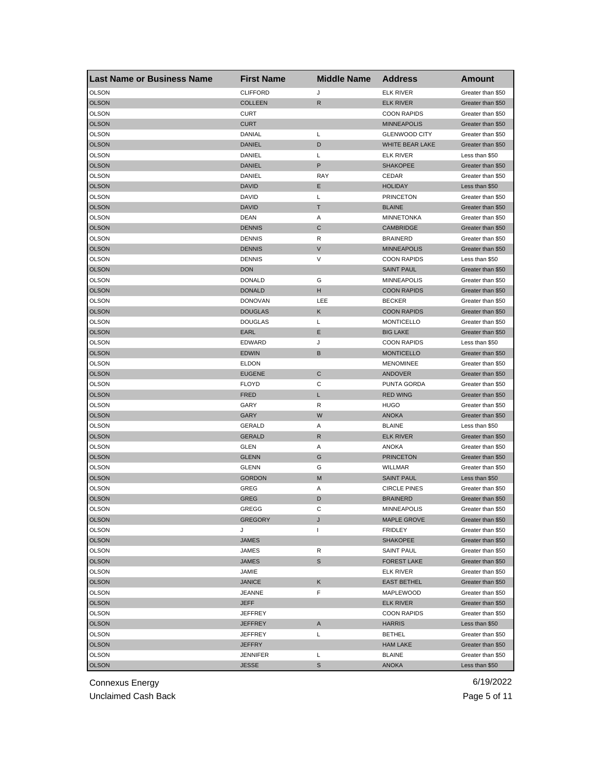| <b>Last Name or Business Name</b> | <b>First Name</b> | <b>Middle Name</b> | <b>Address</b>       | <b>Amount</b>     |
|-----------------------------------|-------------------|--------------------|----------------------|-------------------|
| <b>OLSON</b>                      | <b>CLIFFORD</b>   | J                  | <b>ELK RIVER</b>     | Greater than \$50 |
| <b>OLSON</b>                      | <b>COLLEEN</b>    | $\mathsf R$        | <b>ELK RIVER</b>     | Greater than \$50 |
| OLSON                             | <b>CURT</b>       |                    | <b>COON RAPIDS</b>   | Greater than \$50 |
| <b>OLSON</b>                      | <b>CURT</b>       |                    | <b>MINNEAPOLIS</b>   | Greater than \$50 |
| OLSON                             | DANIAL            | Г                  | <b>GLENWOOD CITY</b> | Greater than \$50 |
| <b>OLSON</b>                      | <b>DANIEL</b>     | D                  | WHITE BEAR LAKE      | Greater than \$50 |
| OLSON                             | DANIEL            | L                  | <b>ELK RIVER</b>     | Less than \$50    |
| <b>OLSON</b>                      | <b>DANIEL</b>     | P                  | <b>SHAKOPEE</b>      | Greater than \$50 |
| OLSON                             | DANIEL            | RAY                | CEDAR                | Greater than \$50 |
| <b>OLSON</b>                      | <b>DAVID</b>      | Е                  | <b>HOLIDAY</b>       | Less than \$50    |
| OLSON                             | DAVID             | Г                  | <b>PRINCETON</b>     | Greater than \$50 |
| <b>OLSON</b>                      | <b>DAVID</b>      | т                  | <b>BLAINE</b>        | Greater than \$50 |
| <b>OLSON</b>                      | DEAN              | Α                  | <b>MINNETONKA</b>    | Greater than \$50 |
| <b>OLSON</b>                      | <b>DENNIS</b>     | C                  | CAMBRIDGE            | Greater than \$50 |
| <b>OLSON</b>                      | <b>DENNIS</b>     | R                  | <b>BRAINERD</b>      | Greater than \$50 |
| <b>OLSON</b>                      | <b>DENNIS</b>     | $\mathsf{V}$       | <b>MINNEAPOLIS</b>   | Greater than \$50 |
| OLSON                             | <b>DENNIS</b>     | V                  | <b>COON RAPIDS</b>   | Less than \$50    |
| <b>OLSON</b>                      | <b>DON</b>        |                    | <b>SAINT PAUL</b>    | Greater than \$50 |
| OLSON                             | <b>DONALD</b>     | G                  | <b>MINNEAPOLIS</b>   | Greater than \$50 |
| <b>OLSON</b>                      | <b>DONALD</b>     | н                  | <b>COON RAPIDS</b>   | Greater than \$50 |
| <b>OLSON</b>                      | <b>DONOVAN</b>    | LEE                | <b>BECKER</b>        | Greater than \$50 |
| <b>OLSON</b>                      | <b>DOUGLAS</b>    | Κ                  | <b>COON RAPIDS</b>   | Greater than \$50 |
| OLSON                             | <b>DOUGLAS</b>    | Г                  | <b>MONTICELLO</b>    | Greater than \$50 |
| <b>OLSON</b>                      | EARL              | Е                  | <b>BIG LAKE</b>      | Greater than \$50 |
| OLSON                             | <b>EDWARD</b>     | J                  | <b>COON RAPIDS</b>   | Less than \$50    |
| <b>OLSON</b>                      | <b>EDWIN</b>      | В                  | <b>MONTICELLO</b>    | Greater than \$50 |
| <b>OLSON</b>                      | <b>ELDON</b>      |                    | <b>MENOMINEE</b>     | Greater than \$50 |
| <b>OLSON</b>                      | <b>EUGENE</b>     | C                  | <b>ANDOVER</b>       | Greater than \$50 |
| <b>OLSON</b>                      | <b>FLOYD</b>      | С                  | PUNTA GORDA          | Greater than \$50 |
| <b>OLSON</b>                      | FRED              | L                  | <b>RED WING</b>      | Greater than \$50 |
| OLSON                             | GARY              | R                  | <b>HUGO</b>          | Greater than \$50 |
| <b>OLSON</b>                      | GARY              | W                  | <b>ANOKA</b>         | Greater than \$50 |
| OLSON                             | GERALD            | Α                  | <b>BLAINE</b>        | Less than \$50    |
| <b>OLSON</b>                      | <b>GERALD</b>     | R                  | <b>ELK RIVER</b>     | Greater than \$50 |
| <b>OLSON</b>                      | GLEN              | Α                  | <b>ANOKA</b>         | Greater than \$50 |
| <b>OLSON</b>                      | <b>GLENN</b>      | G                  | <b>PRINCETON</b>     | Greater than \$50 |
| OLSON                             | <b>GLENN</b>      | G                  | <b>WILLMAR</b>       | Greater than \$50 |
| <b>OLSON</b>                      | GORDON            | M                  | <b>SAINT PAUL</b>    | Less than \$50    |
| <b>OLSON</b>                      | GREG              | Α                  | <b>CIRCLE PINES</b>  | Greater than \$50 |
| <b>OLSON</b>                      | GREG              | D                  | <b>BRAINERD</b>      | Greater than \$50 |
| OLSON                             | GREGG             | С                  | <b>MINNEAPOLIS</b>   | Greater than \$50 |
| <b>OLSON</b>                      | <b>GREGORY</b>    | J                  | <b>MAPLE GROVE</b>   | Greater than \$50 |
| <b>OLSON</b>                      | J                 | $\mathbf{I}$       | <b>FRIDLEY</b>       | Greater than \$50 |
| <b>OLSON</b>                      | JAMES             |                    | <b>SHAKOPEE</b>      | Greater than \$50 |
| <b>OLSON</b>                      | <b>JAMES</b>      | R                  | <b>SAINT PAUL</b>    | Greater than \$50 |
| <b>OLSON</b>                      | <b>JAMES</b>      | S                  | <b>FOREST LAKE</b>   | Greater than \$50 |
| <b>OLSON</b>                      | JAMIE             |                    | <b>ELK RIVER</b>     | Greater than \$50 |
| <b>OLSON</b>                      | <b>JANICE</b>     | Κ                  | <b>EAST BETHEL</b>   | Greater than \$50 |
|                                   |                   | F                  |                      |                   |
| OLSON                             | JEANNE            |                    | MAPLEWOOD            | Greater than \$50 |
| <b>OLSON</b>                      | <b>JEFF</b>       |                    | <b>ELK RIVER</b>     | Greater than \$50 |
| OLSON                             | JEFFREY           |                    | <b>COON RAPIDS</b>   | Greater than \$50 |
| <b>OLSON</b>                      | <b>JEFFREY</b>    | A                  | <b>HARRIS</b>        | Less than \$50    |
| OLSON                             | JEFFREY           | Г                  | <b>BETHEL</b>        | Greater than \$50 |
| <b>OLSON</b>                      | JEFFRY            |                    | <b>HAM LAKE</b>      | Greater than \$50 |
| OLSON                             | JENNIFER          | L                  | <b>BLAINE</b>        | Greater than \$50 |
| <b>OLSON</b>                      | <b>JESSE</b>      | S                  | <b>ANOKA</b>         | Less than \$50    |

Unclaimed Cash Back **Page 5 of 11**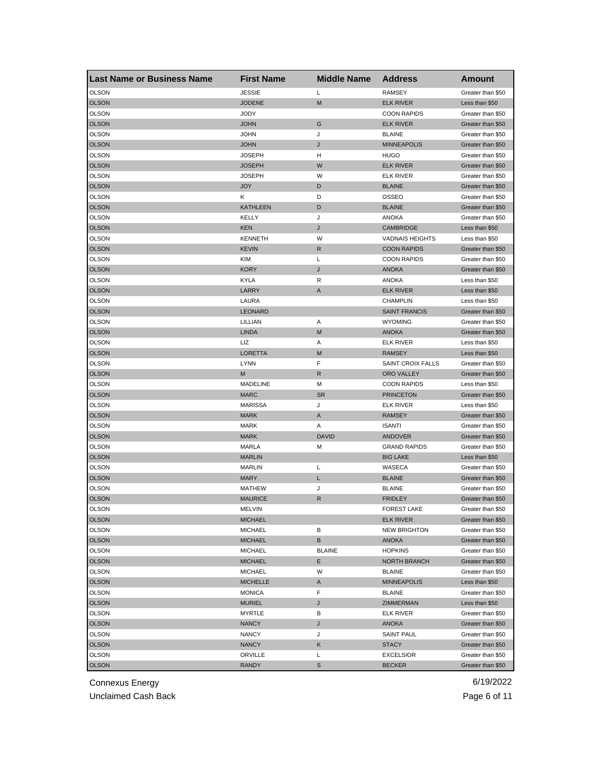| <b>Last Name or Business Name</b> | <b>First Name</b>        | <b>Middle Name</b> | <b>Address</b>                         | <b>Amount</b>                          |
|-----------------------------------|--------------------------|--------------------|----------------------------------------|----------------------------------------|
| <b>OLSON</b>                      | <b>JESSIE</b>            | Г                  | <b>RAMSEY</b>                          | Greater than \$50                      |
| <b>OLSON</b>                      | <b>JODENE</b>            | M                  | <b>ELK RIVER</b>                       | Less than \$50                         |
| OLSON                             | JODY                     |                    | <b>COON RAPIDS</b>                     | Greater than \$50                      |
| <b>OLSON</b>                      | <b>JOHN</b>              | G                  | <b>ELK RIVER</b>                       | Greater than \$50                      |
| <b>OLSON</b>                      | JOHN                     | J                  | <b>BLAINE</b>                          | Greater than \$50                      |
| <b>OLSON</b>                      | <b>JOHN</b>              | J                  | <b>MINNEAPOLIS</b>                     | Greater than \$50                      |
| <b>OLSON</b>                      | JOSEPH                   | н                  | <b>HUGO</b>                            | Greater than \$50                      |
| <b>OLSON</b>                      | JOSEPH                   | W                  | <b>ELK RIVER</b>                       | Greater than \$50                      |
| OLSON                             | JOSEPH                   | W                  | <b>ELK RIVER</b>                       | Greater than \$50                      |
| <b>OLSON</b>                      | <b>JOY</b>               | D                  | <b>BLAINE</b>                          | Greater than \$50                      |
| OLSON                             | κ                        | D                  | <b>OSSEO</b>                           | Greater than \$50                      |
| <b>OLSON</b>                      | KATHLEEN                 | D                  | <b>BLAINE</b>                          | Greater than \$50                      |
| <b>OLSON</b>                      | KELLY                    | J                  | <b>ANOKA</b>                           | Greater than \$50                      |
| <b>OLSON</b>                      | KEN                      | J                  | CAMBRIDGE                              | Less than \$50                         |
| <b>OLSON</b>                      | <b>KENNETH</b>           | W                  | <b>VADNAIS HEIGHTS</b>                 | Less than \$50                         |
| <b>OLSON</b>                      | <b>KEVIN</b>             | R                  | <b>COON RAPIDS</b>                     | Greater than \$50                      |
| OLSON                             | <b>KIM</b>               | L                  | <b>COON RAPIDS</b>                     | Greater than \$50                      |
| <b>OLSON</b>                      | KORY                     | J                  | <b>ANOKA</b>                           | Greater than \$50                      |
| OLSON                             | KYLA                     | R                  | ANOKA                                  | Less than \$50                         |
| <b>OLSON</b>                      | LARRY                    | A                  | <b>ELK RIVER</b>                       | Less than \$50                         |
| <b>OLSON</b>                      | LAURA                    |                    | <b>CHAMPLIN</b>                        | Less than \$50                         |
| <b>OLSON</b>                      | LEONARD                  |                    | <b>SAINT FRANCIS</b>                   | Greater than \$50                      |
| OLSON                             | LILLIAN                  | Α                  | <b>WYOMING</b>                         | Greater than \$50                      |
| <b>OLSON</b>                      | <b>LINDA</b>             | M                  | <b>ANOKA</b>                           | Greater than \$50                      |
| <b>OLSON</b>                      | LIZ                      | Α                  | <b>ELK RIVER</b>                       | Less than \$50                         |
| <b>OLSON</b>                      | LORETTA                  | M                  | <b>RAMSEY</b>                          | Less than \$50                         |
| <b>OLSON</b>                      | <b>LYNN</b>              | F                  | SAINT CROIX FALLS                      | Greater than \$50                      |
| <b>OLSON</b>                      | M                        | R                  | ORO VALLEY                             | Greater than \$50                      |
| <b>OLSON</b>                      | MADELINE                 | M                  | <b>COON RAPIDS</b>                     | Less than \$50                         |
| <b>OLSON</b>                      | <b>MARC</b>              | <b>SR</b>          | <b>PRINCETON</b>                       | Greater than \$50                      |
| OLSON                             | <b>MARISSA</b>           | J                  | <b>ELK RIVER</b>                       | Less than \$50                         |
| <b>OLSON</b>                      | <b>MARK</b>              | A                  | <b>RAMSEY</b>                          | Greater than \$50                      |
| OLSON                             | <b>MARK</b>              | Α                  | <b>ISANTI</b>                          | Greater than \$50                      |
| <b>OLSON</b>                      | <b>MARK</b>              | <b>DAVID</b>       | ANDOVER                                | Greater than \$50                      |
| OLSON                             | MARLA                    | м                  | <b>GRAND RAPIDS</b>                    | Greater than \$50                      |
| <b>OLSON</b>                      | <b>MARLIN</b>            |                    | <b>BIG LAKE</b>                        | Less than \$50                         |
| OLSON                             | <b>MARLIN</b>            | Г                  | WASECA                                 | Greater than \$50                      |
| <b>OLSON</b>                      | <b>MARY</b>              | L                  | <b>BLAINE</b>                          | Greater than \$50                      |
| <b>OLSON</b>                      | <b>MATHEW</b>            | J                  | <b>BLAINE</b>                          |                                        |
| <b>OLSON</b>                      | <b>MAURICE</b>           | R                  | <b>FRIDLEY</b>                         | Greater than \$50<br>Greater than \$50 |
|                                   |                          |                    |                                        |                                        |
| OLSON                             | MELVIN<br><b>MICHAEL</b> |                    | <b>FOREST LAKE</b><br><b>ELK RIVER</b> | Greater than \$50<br>Greater than \$50 |
| <b>OLSON</b>                      |                          |                    |                                        | Greater than \$50                      |
| <b>OLSON</b>                      | <b>MICHAEL</b>           | В                  | <b>NEW BRIGHTON</b>                    |                                        |
| <b>OLSON</b>                      | <b>MICHAEL</b>           | В                  | ANOKA                                  | Greater than \$50                      |
| <b>OLSON</b>                      | <b>MICHAEL</b>           | <b>BLAINE</b>      | <b>HOPKINS</b>                         | Greater than \$50                      |
| <b>OLSON</b>                      | <b>MICHAEL</b>           | E                  | NORTH BRANCH                           | Greater than \$50                      |
| <b>OLSON</b>                      | <b>MICHAEL</b>           | W                  | <b>BLAINE</b>                          | Greater than \$50                      |
| <b>OLSON</b>                      | <b>MICHELLE</b>          | A                  | <b>MINNEAPOLIS</b>                     | Less than \$50                         |
| OLSON                             | <b>MONICA</b>            | F                  | <b>BLAINE</b>                          | Greater than \$50                      |
| <b>OLSON</b>                      | <b>MURIEL</b>            | J                  | ZIMMERMAN                              | Less than \$50                         |
| OLSON                             | MYRTLE                   | В                  | <b>ELK RIVER</b>                       | Greater than \$50                      |
| <b>OLSON</b>                      | <b>NANCY</b>             | J                  | <b>ANOKA</b>                           | Greater than \$50                      |
| OLSON                             | NANCY                    | J                  | SAINT PAUL                             | Greater than \$50                      |
| <b>OLSON</b>                      | NANCY                    | Κ                  | <b>STACY</b>                           | Greater than \$50                      |
| OLSON                             | ORVILLE                  | Г                  | <b>EXCELSIOR</b>                       | Greater than \$50                      |
| <b>OLSON</b>                      | RANDY                    | S                  | <b>BECKER</b>                          | Greater than \$50                      |

Unclaimed Cash Back **Page 6 of 11**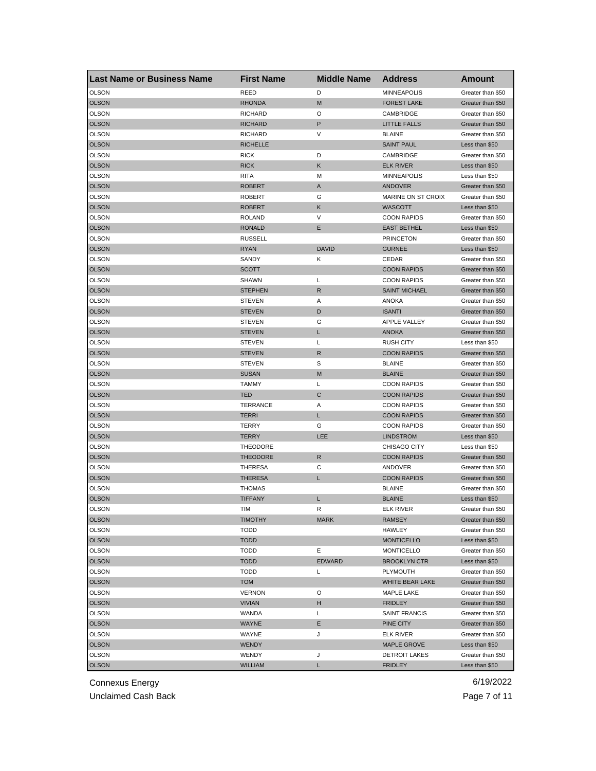| <b>Last Name or Business Name</b> | <b>First Name</b> | <b>Middle Name</b> | <b>Address</b>       | <b>Amount</b>     |
|-----------------------------------|-------------------|--------------------|----------------------|-------------------|
| <b>OLSON</b>                      | REED              | D                  | <b>MINNEAPOLIS</b>   | Greater than \$50 |
| <b>OLSON</b>                      | <b>RHONDA</b>     | M                  | <b>FOREST LAKE</b>   | Greater than \$50 |
| OLSON                             | <b>RICHARD</b>    | O                  | CAMBRIDGE            | Greater than \$50 |
| <b>OLSON</b>                      | <b>RICHARD</b>    | $\mathsf P$        | <b>LITTLE FALLS</b>  | Greater than \$50 |
| <b>OLSON</b>                      | <b>RICHARD</b>    | V                  | <b>BLAINE</b>        | Greater than \$50 |
| <b>OLSON</b>                      | <b>RICHELLE</b>   |                    | <b>SAINT PAUL</b>    | Less than \$50    |
| OLSON                             | <b>RICK</b>       | D                  | CAMBRIDGE            | Greater than \$50 |
| <b>OLSON</b>                      | <b>RICK</b>       | Κ                  | <b>ELK RIVER</b>     | Less than \$50    |
| OLSON                             | <b>RITA</b>       | M                  | <b>MINNEAPOLIS</b>   | Less than \$50    |
| <b>OLSON</b>                      | <b>ROBERT</b>     | A                  | ANDOVER              | Greater than \$50 |
| OLSON                             | <b>ROBERT</b>     | G                  | MARINE ON ST CROIX   | Greater than \$50 |
| <b>OLSON</b>                      | <b>ROBERT</b>     | Κ                  | <b>WASCOTT</b>       | Less than \$50    |
| OLSON                             | <b>ROLAND</b>     | V                  | <b>COON RAPIDS</b>   | Greater than \$50 |
| <b>OLSON</b>                      | <b>RONALD</b>     | E                  | <b>EAST BETHEL</b>   | Less than \$50    |
| <b>OLSON</b>                      | <b>RUSSELL</b>    |                    | <b>PRINCETON</b>     | Greater than \$50 |
| <b>OLSON</b>                      | <b>RYAN</b>       | <b>DAVID</b>       | <b>GURNEE</b>        | Less than \$50    |
| <b>OLSON</b>                      | SANDY             | Κ                  | CEDAR                | Greater than \$50 |
| <b>OLSON</b>                      | <b>SCOTT</b>      |                    | <b>COON RAPIDS</b>   | Greater than \$50 |
| OLSON                             | SHAWN             | L                  | <b>COON RAPIDS</b>   | Greater than \$50 |
| <b>OLSON</b>                      | <b>STEPHEN</b>    | R                  | <b>SAINT MICHAEL</b> | Greater than \$50 |
| <b>OLSON</b>                      | <b>STEVEN</b>     | Α                  | <b>ANOKA</b>         | Greater than \$50 |
| <b>OLSON</b>                      | <b>STEVEN</b>     | D                  | <b>ISANTI</b>        | Greater than \$50 |
| OLSON                             | <b>STEVEN</b>     | G                  | APPLE VALLEY         | Greater than \$50 |
| <b>OLSON</b>                      | <b>STEVEN</b>     | L                  | <b>ANOKA</b>         | Greater than \$50 |
| <b>OLSON</b>                      | <b>STEVEN</b>     | Г                  | <b>RUSH CITY</b>     | Less than \$50    |
| <b>OLSON</b>                      | STEVEN            | R                  | <b>COON RAPIDS</b>   | Greater than \$50 |
| <b>OLSON</b>                      | <b>STEVEN</b>     | S                  | <b>BLAINE</b>        | Greater than \$50 |
| <b>OLSON</b>                      | <b>SUSAN</b>      | M                  | <b>BLAINE</b>        | Greater than \$50 |
| <b>OLSON</b>                      | <b>TAMMY</b>      | L                  | <b>COON RAPIDS</b>   | Greater than \$50 |
| <b>OLSON</b>                      | TED               | C                  | <b>COON RAPIDS</b>   | Greater than \$50 |
| OLSON                             | <b>TERRANCE</b>   | Α                  | <b>COON RAPIDS</b>   | Greater than \$50 |
| <b>OLSON</b>                      | <b>TERRI</b>      | L                  | <b>COON RAPIDS</b>   | Greater than \$50 |
| OLSON                             | TERRY             | G                  | <b>COON RAPIDS</b>   | Greater than \$50 |
| <b>OLSON</b>                      | <b>TERRY</b>      | LEE                | <b>LINDSTROM</b>     | Less than \$50    |
| OLSON                             | <b>THEODORE</b>   |                    | CHISAGO CITY         | Less than \$50    |
| <b>OLSON</b>                      | <b>THEODORE</b>   | $\mathsf{R}$       | <b>COON RAPIDS</b>   | Greater than \$50 |
| OLSON                             | <b>THERESA</b>    | С                  | ANDOVER              | Greater than \$50 |
| <b>OLSON</b>                      | <b>THERESA</b>    | L                  | <b>COON RAPIDS</b>   | Greater than \$50 |
| <b>OLSON</b>                      | THOMAS            |                    | <b>BLAINE</b>        | Greater than \$50 |
| <b>OLSON</b>                      | <b>TIFFANY</b>    | L                  | <b>BLAINE</b>        | Less than \$50    |
| OLSON                             | TIM               | R                  | ELK RIVER            | Greater than \$50 |
| <b>OLSON</b>                      | TIMOTHY           | <b>MARK</b>        | RAMSEY               | Greater than \$50 |
| <b>OLSON</b>                      | TODD              |                    | HAWLEY               | Greater than \$50 |
| <b>OLSON</b>                      | <b>TODD</b>       |                    | <b>MONTICELLO</b>    | Less than \$50    |
| <b>OLSON</b>                      | <b>TODD</b>       | Е                  | <b>MONTICELLO</b>    | Greater than \$50 |
| <b>OLSON</b>                      | <b>TODD</b>       | <b>EDWARD</b>      | <b>BROOKLYN CTR</b>  | Less than \$50    |
| <b>OLSON</b>                      | <b>TODD</b>       | L                  | PLYMOUTH             | Greater than \$50 |
| <b>OLSON</b>                      | <b>TOM</b>        |                    | WHITE BEAR LAKE      | Greater than \$50 |
| OLSON                             | <b>VERNON</b>     | O                  | <b>MAPLE LAKE</b>    | Greater than \$50 |
| <b>OLSON</b>                      | <b>VIVIAN</b>     | н                  | <b>FRIDLEY</b>       | Greater than \$50 |
| OLSON                             | WANDA             | L                  | SAINT FRANCIS        | Greater than \$50 |
|                                   |                   |                    | PINE CITY            |                   |
| <b>OLSON</b><br>OLSON             | WAYNE             | Е                  |                      | Greater than \$50 |
|                                   | WAYNE             | J                  | ELK RIVER            | Greater than \$50 |
| <b>OLSON</b>                      | WENDY             |                    | <b>MAPLE GROVE</b>   | Less than \$50    |
| OLSON                             | WENDY             | J                  | <b>DETROIT LAKES</b> | Greater than \$50 |
| <b>OLSON</b>                      | WILLIAM           | L.                 | <b>FRIDLEY</b>       | Less than \$50    |

Unclaimed Cash Back **Page 7 of 11**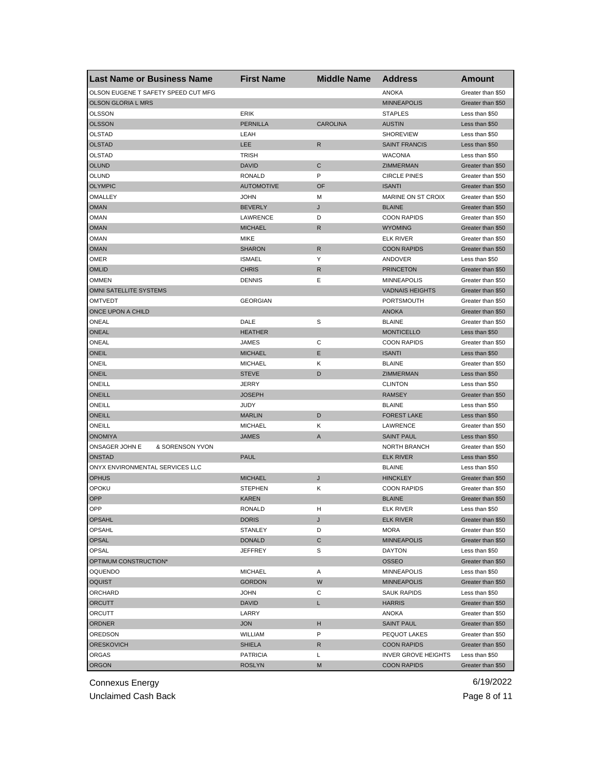| <b>Last Name or Business Name</b>   | <b>First Name</b> | <b>Middle Name</b> | <b>Address</b>             | <b>Amount</b>     |
|-------------------------------------|-------------------|--------------------|----------------------------|-------------------|
| OLSON EUGENE T SAFETY SPEED CUT MFG |                   |                    | <b>ANOKA</b>               | Greater than \$50 |
| <b>OLSON GLORIA L MRS</b>           |                   |                    | <b>MINNEAPOLIS</b>         | Greater than \$50 |
| OLSSON                              | <b>ERIK</b>       |                    | <b>STAPLES</b>             | Less than \$50    |
| <b>OLSSON</b>                       | <b>PERNILLA</b>   | <b>CAROLINA</b>    | <b>AUSTIN</b>              | Less than \$50    |
| OLSTAD                              | LEAH              |                    | <b>SHOREVIEW</b>           | Less than \$50    |
| <b>OLSTAD</b>                       | LEE               | R                  | <b>SAINT FRANCIS</b>       | Less than \$50    |
| OLSTAD                              | <b>TRISH</b>      |                    | <b>WACONIA</b>             | Less than \$50    |
| <b>OLUND</b>                        | <b>DAVID</b>      | C                  | <b>ZIMMERMAN</b>           | Greater than \$50 |
| OLUND                               | RONALD            | P                  | <b>CIRCLE PINES</b>        | Greater than \$50 |
| <b>OLYMPIC</b>                      | <b>AUTOMOTIVE</b> | OF                 | <b>ISANTI</b>              | Greater than \$50 |
| OMALLEY                             | <b>JOHN</b>       | м                  | MARINE ON ST CROIX         | Greater than \$50 |
| <b>OMAN</b>                         | <b>BEVERLY</b>    | J                  | <b>BLAINE</b>              | Greater than \$50 |
| OMAN                                | LAWRENCE          | D                  | <b>COON RAPIDS</b>         | Greater than \$50 |
| <b>OMAN</b>                         | <b>MICHAEL</b>    | $\mathsf{R}$       | <b>WYOMING</b>             | Greater than \$50 |
| <b>OMAN</b>                         | <b>MIKE</b>       |                    | <b>ELK RIVER</b>           | Greater than \$50 |
| <b>OMAN</b>                         | <b>SHARON</b>     | ${\sf R}$          | <b>COON RAPIDS</b>         | Greater than \$50 |
| OMER                                | <b>ISMAEL</b>     | Υ                  | ANDOVER                    | Less than \$50    |
| <b>OMLID</b>                        | <b>CHRIS</b>      | R                  | <b>PRINCETON</b>           | Greater than \$50 |
| OMMEN                               | <b>DENNIS</b>     | Е                  | <b>MINNEAPOLIS</b>         | Greater than \$50 |
| OMNI SATELLITE SYSTEMS              |                   |                    | <b>VADNAIS HEIGHTS</b>     | Greater than \$50 |
| OMTVEDT                             | <b>GEORGIAN</b>   |                    | PORTSMOUTH                 | Greater than \$50 |
| ONCE UPON A CHILD                   |                   |                    | <b>ANOKA</b>               | Greater than \$50 |
| ONEAL                               | DALE              | S                  | <b>BLAINE</b>              | Greater than \$50 |
| <b>ONEAL</b>                        | <b>HEATHER</b>    |                    | <b>MONTICELLO</b>          | Less than \$50    |
| ONEAL                               | <b>JAMES</b>      | С                  | <b>COON RAPIDS</b>         | Greater than \$50 |
| ONEIL                               | <b>MICHAEL</b>    | Е                  | <b>ISANTI</b>              | Less than \$50    |
| ONEIL                               | <b>MICHAEL</b>    | κ                  | <b>BLAINE</b>              | Greater than \$50 |
| <b>ONEIL</b>                        | <b>STEVE</b>      | D                  | ZIMMERMAN                  | Less than \$50    |
| ONEILL                              | <b>JERRY</b>      |                    | <b>CLINTON</b>             | Less than \$50    |
| <b>ONEILL</b>                       | <b>JOSEPH</b>     |                    | <b>RAMSEY</b>              | Greater than \$50 |
| ONEILL                              | <b>JUDY</b>       |                    | <b>BLAINE</b>              | Less than \$50    |
| ONEILL                              | <b>MARLIN</b>     | D                  | <b>FOREST LAKE</b>         | Less than \$50    |
| ONEILL                              | <b>MICHAEL</b>    | κ                  | LAWRENCE                   | Greater than \$50 |
| <b>ONOMIYA</b>                      | <b>JAMES</b>      | A                  | <b>SAINT PAUL</b>          | Less than \$50    |
| ONSAGER JOHN E<br>& SORENSON YVON   |                   |                    | <b>NORTH BRANCH</b>        | Greater than \$50 |
| <b>ONSTAD</b>                       | <b>PAUL</b>       |                    | <b>ELK RIVER</b>           | Less than \$50    |
| ONYX ENVIRONMENTAL SERVICES LLC     |                   |                    | <b>BLAINE</b>              | Less than \$50    |
| <b>OPHUS</b>                        | <b>MICHAEL</b>    | J                  | <b>HINCKLEY</b>            | Greater than \$50 |
| OPOKU                               | <b>STEPHEN</b>    | Κ                  | <b>COON RAPIDS</b>         | Greater than \$50 |
| <b>OPP</b>                          | <b>KAREN</b>      |                    | <b>BLAINE</b>              | Greater than \$50 |
| OPP                                 | RONALD            | н                  | <b>ELK RIVER</b>           | Less than \$50    |
| <b>OPSAHL</b>                       | <b>DORIS</b>      | J                  | <b>ELK RIVER</b>           | Greater than \$50 |
| OPSAHL                              | <b>STANLEY</b>    | D                  | MORA                       | Greater than \$50 |
| OPSAL                               | <b>DONALD</b>     | С                  | <b>MINNEAPOLIS</b>         | Greater than \$50 |
| OPSAL                               | <b>JEFFREY</b>    | S                  | <b>DAYTON</b>              | Less than \$50    |
| OPTIMUM CONSTRUCTION*               |                   |                    | <b>OSSEO</b>               | Greater than \$50 |
| <b>OQUENDO</b>                      | <b>MICHAEL</b>    | Α                  | <b>MINNEAPOLIS</b>         | Less than \$50    |
| <b>OQUIST</b>                       | <b>GORDON</b>     | W                  | <b>MINNEAPOLIS</b>         | Greater than \$50 |
| ORCHARD                             | <b>JOHN</b>       | С                  | <b>SAUK RAPIDS</b>         | Less than \$50    |
| <b>ORCUTT</b>                       | <b>DAVID</b>      | L                  | <b>HARRIS</b>              | Greater than \$50 |
| ORCUTT                              | LARRY             |                    | ANOKA                      | Greater than \$50 |
| ORDNER                              | <b>JON</b>        | н                  | <b>SAINT PAUL</b>          | Greater than \$50 |
| OREDSON                             | WILLIAM           | P                  | PEQUOT LAKES               | Greater than \$50 |
| ORESKOVICH                          | <b>SHIELA</b>     | R                  | <b>COON RAPIDS</b>         | Greater than \$50 |
| ORGAS                               | <b>PATRICIA</b>   | L                  | <b>INVER GROVE HEIGHTS</b> | Less than \$50    |
| <b>ORGON</b>                        | <b>ROSLYN</b>     | M                  | <b>COON RAPIDS</b>         | Greater than \$50 |

Unclaimed Cash Back **Page 8 of 11**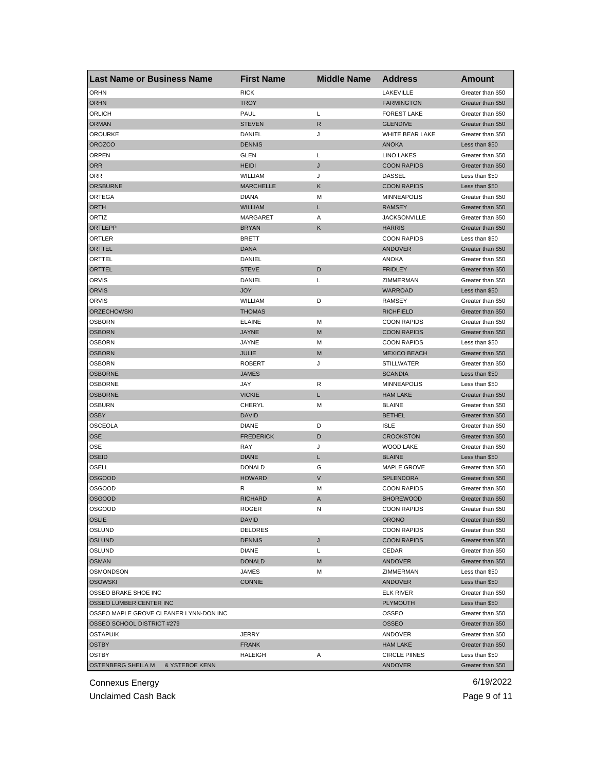| <b>Last Name or Business Name</b>      | <b>First Name</b> | <b>Middle Name</b> | <b>Address</b>       | Amount            |
|----------------------------------------|-------------------|--------------------|----------------------|-------------------|
| <b>ORHN</b>                            | <b>RICK</b>       |                    | LAKEVILLE            | Greater than \$50 |
| <b>ORHN</b>                            | <b>TROY</b>       |                    | <b>FARMINGTON</b>    | Greater than \$50 |
| ORLICH                                 | PAUL              | L                  | <b>FOREST LAKE</b>   | Greater than \$50 |
| <b>ORMAN</b>                           | <b>STEVEN</b>     | $\mathsf{R}$       | <b>GLENDIVE</b>      | Greater than \$50 |
| OROURKE                                | DANIEL            | J                  | WHITE BEAR LAKE      | Greater than \$50 |
| <b>OROZCO</b>                          | <b>DENNIS</b>     |                    | <b>ANOKA</b>         | Less than \$50    |
| <b>ORPEN</b>                           | <b>GLEN</b>       | L                  | <b>LINO LAKES</b>    | Greater than \$50 |
| <b>ORR</b>                             | <b>HEIDI</b>      | J                  | <b>COON RAPIDS</b>   | Greater than \$50 |
| ORR                                    | WILLIAM           | J                  | DASSEL               | Less than \$50    |
| <b>ORSBURNE</b>                        | <b>MARCHELLE</b>  | K                  | <b>COON RAPIDS</b>   | Less than \$50    |
| ORTEGA                                 | <b>DIANA</b>      | М                  | <b>MINNEAPOLIS</b>   | Greater than \$50 |
| ORTH                                   | <b>WILLIAM</b>    | L                  | <b>RAMSEY</b>        | Greater than \$50 |
| ORTIZ                                  | <b>MARGARET</b>   | Α                  | <b>JACKSONVILLE</b>  | Greater than \$50 |
| <b>ORTLEPP</b>                         | <b>BRYAN</b>      | Κ                  | <b>HARRIS</b>        | Greater than \$50 |
| ORTLER                                 | <b>BRETT</b>      |                    | <b>COON RAPIDS</b>   | Less than \$50    |
| ORTTEL                                 | <b>DANA</b>       |                    | ANDOVER              | Greater than \$50 |
| ORTTEL                                 | DANIEL            |                    | <b>ANOKA</b>         | Greater than \$50 |
| ORTTEL                                 | <b>STEVE</b>      | D                  | <b>FRIDLEY</b>       | Greater than \$50 |
| ORVIS                                  | DANIEL            | L                  | ZIMMERMAN            | Greater than \$50 |
| <b>ORVIS</b>                           | <b>JOY</b>        |                    | WARROAD              | Less than \$50    |
| ORVIS                                  | <b>WILLIAM</b>    | D                  | <b>RAMSEY</b>        | Greater than \$50 |
| <b>ORZECHOWSKI</b>                     | <b>THOMAS</b>     |                    | <b>RICHFIELD</b>     | Greater than \$50 |
| OSBORN                                 | <b>ELAINE</b>     | М                  | <b>COON RAPIDS</b>   | Greater than \$50 |
| <b>OSBORN</b>                          | <b>JAYNE</b>      | M                  | <b>COON RAPIDS</b>   | Greater than \$50 |
| OSBORN                                 | JAYNE             | М                  | <b>COON RAPIDS</b>   | Less than \$50    |
|                                        |                   |                    |                      |                   |
| <b>OSBORN</b>                          | <b>JULIE</b>      | M                  | <b>MEXICO BEACH</b>  | Greater than \$50 |
| OSBORN                                 | <b>ROBERT</b>     | J                  | <b>STILLWATER</b>    | Greater than \$50 |
| <b>OSBORNE</b>                         | <b>JAMES</b>      |                    | <b>SCANDIA</b>       | Less than \$50    |
| OSBORNE                                | JAY               | R                  | <b>MINNEAPOLIS</b>   | Less than \$50    |
| <b>OSBORNE</b>                         | <b>VICKIE</b>     | L                  | <b>HAM LAKE</b>      | Greater than \$50 |
| OSBURN                                 | CHERYL            | M                  | <b>BLAINE</b>        | Greater than \$50 |
| <b>OSBY</b>                            | <b>DAVID</b>      |                    | <b>BETHEL</b>        | Greater than \$50 |
| OSCEOLA                                | <b>DIANE</b>      | D                  | <b>ISLE</b>          | Greater than \$50 |
| <b>OSE</b>                             | <b>FREDERICK</b>  | D                  | <b>CROOKSTON</b>     | Greater than \$50 |
| OSE                                    | RAY               | J                  | <b>WOOD LAKE</b>     | Greater than \$50 |
| OSEID                                  | <b>DIANE</b>      | L                  | <b>BLAINE</b>        | Less than \$50    |
| OSELL                                  | <b>DONALD</b>     | G                  | MAPLE GROVE          | Greater than \$50 |
| <b>OSGOOD</b>                          | <b>HOWARD</b>     | V                  | SPLENDORA            | Greater than \$50 |
| OSGOOD                                 | R                 | M                  | <b>COON RAPIDS</b>   | Greater than \$50 |
| <b>OSGOOD</b>                          | <b>RICHARD</b>    | A                  | <b>SHOREWOOD</b>     | Greater than \$50 |
| OSGOOD                                 | ROGER             | N                  | <b>COON RAPIDS</b>   | Greater than \$50 |
| OSLIE                                  | DAVID             |                    | <b>ORONO</b>         | Greater than \$50 |
| OSLUND                                 | <b>DELORES</b>    |                    | <b>COON RAPIDS</b>   | Greater than \$50 |
| <b>OSLUND</b>                          | <b>DENNIS</b>     | J                  | <b>COON RAPIDS</b>   | Greater than \$50 |
| OSLUND                                 | <b>DIANE</b>      | Г                  | CEDAR                | Greater than \$50 |
| <b>OSMAN</b>                           | <b>DONALD</b>     | M                  | ANDOVER              | Greater than \$50 |
| OSMONDSON                              | JAMES             | М                  | ZIMMERMAN            | Less than \$50    |
| <b>OSOWSKI</b>                         | <b>CONNIE</b>     |                    | ANDOVER              | Less than \$50    |
| OSSEO BRAKE SHOE INC                   |                   |                    | <b>ELK RIVER</b>     | Greater than \$50 |
| OSSEO LUMBER CENTER INC                |                   |                    | <b>PLYMOUTH</b>      | Less than \$50    |
| OSSEO MAPLE GROVE CLEANER LYNN-DON INC |                   |                    | OSSEO                | Greater than \$50 |
| OSSEO SCHOOL DISTRICT #279             |                   |                    | <b>OSSEO</b>         | Greater than \$50 |
| <b>OSTAPUIK</b>                        | JERRY             |                    | ANDOVER              | Greater than \$50 |
| OSTBY                                  | <b>FRANK</b>      |                    | <b>HAM LAKE</b>      | Greater than \$50 |
| <b>OSTBY</b>                           | HALEIGH           | Α                  | <b>CIRCLE PIINES</b> | Less than \$50    |
| OSTENBERG SHEILA M<br>& YSTEBOE KENN   |                   |                    | ANDOVER              | Greater than \$50 |
|                                        |                   |                    |                      |                   |

Unclaimed Cash Back **Page 9 of 11**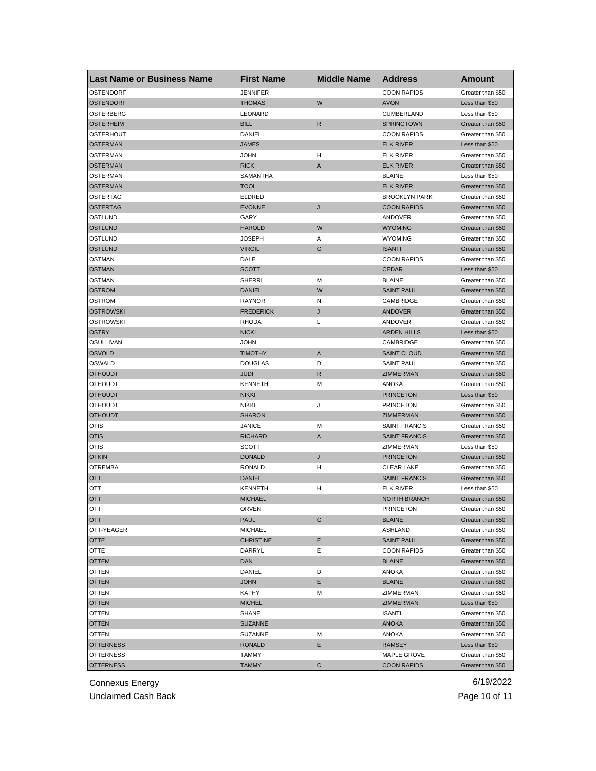| <b>Last Name or Business Name</b> | <b>First Name</b> | <b>Middle Name</b> | <b>Address</b>       | Amount            |
|-----------------------------------|-------------------|--------------------|----------------------|-------------------|
| <b>OSTENDORF</b>                  | <b>JENNIFER</b>   |                    | <b>COON RAPIDS</b>   | Greater than \$50 |
| <b>OSTENDORF</b>                  | <b>THOMAS</b>     | W                  | <b>AVON</b>          | Less than \$50    |
| OSTERBERG                         | LEONARD           |                    | CUMBERLAND           | Less than \$50    |
| <b>OSTERHEIM</b>                  | <b>BILL</b>       | R                  | <b>SPRINGTOWN</b>    | Greater than \$50 |
| OSTERHOUT                         | DANIEL            |                    | <b>COON RAPIDS</b>   | Greater than \$50 |
| <b>OSTERMAN</b>                   | <b>JAMES</b>      |                    | <b>ELK RIVER</b>     | Less than \$50    |
| OSTERMAN                          | JOHN              | н                  | <b>ELK RIVER</b>     | Greater than \$50 |
| <b>OSTERMAN</b>                   | <b>RICK</b>       | A                  | <b>ELK RIVER</b>     | Greater than \$50 |
| OSTERMAN                          | SAMANTHA          |                    | <b>BLAINE</b>        | Less than \$50    |
| <b>OSTERMAN</b>                   | TOOL              |                    | <b>ELK RIVER</b>     | Greater than \$50 |
| OSTERTAG                          | <b>ELDRED</b>     |                    | <b>BROOKLYN PARK</b> | Greater than \$50 |
| <b>OSTERTAG</b>                   | <b>EVONNE</b>     | J                  | <b>COON RAPIDS</b>   | Greater than \$50 |
| OSTLUND                           | GARY              |                    | ANDOVER              | Greater than \$50 |
| <b>OSTLUND</b>                    | <b>HAROLD</b>     | W                  | <b>WYOMING</b>       | Greater than \$50 |
| OSTLUND                           | JOSEPH            | Α                  | <b>WYOMING</b>       | Greater than \$50 |
| <b>OSTLUND</b>                    | <b>VIRGIL</b>     | G                  | <b>ISANTI</b>        | Greater than \$50 |
| OSTMAN                            | DALE              |                    | <b>COON RAPIDS</b>   | Greater than \$50 |
| <b>OSTMAN</b>                     | <b>SCOTT</b>      |                    | <b>CEDAR</b>         | Less than \$50    |
| OSTMAN                            | SHERRI            | M                  | <b>BLAINE</b>        | Greater than \$50 |
| <b>OSTROM</b>                     | <b>DANIEL</b>     | W                  | <b>SAINT PAUL</b>    | Greater than \$50 |
| <b>OSTROM</b>                     | <b>RAYNOR</b>     | N                  | CAMBRIDGE            | Greater than \$50 |
| <b>OSTROWSKI</b>                  | <b>FREDERICK</b>  | J                  | ANDOVER              | Greater than \$50 |
| <b>OSTROWSKI</b>                  | <b>RHODA</b>      | Г                  | ANDOVER              | Greater than \$50 |
| <b>OSTRY</b>                      | <b>NICKI</b>      |                    | <b>ARDEN HILLS</b>   | Less than \$50    |
| OSULLIVAN                         | JOHN              |                    | CAMBRIDGE            | Greater than \$50 |
| <b>OSVOLD</b>                     | <b>TIMOTHY</b>    | A                  | <b>SAINT CLOUD</b>   | Greater than \$50 |
| OSWALD                            | <b>DOUGLAS</b>    | D                  | <b>SAINT PAUL</b>    | Greater than \$50 |
| <b>OTHOUDT</b>                    | JUDI              | R                  | ZIMMERMAN            | Greater than \$50 |
| OTHOUDT                           | <b>KENNETH</b>    | M                  | <b>ANOKA</b>         | Greater than \$50 |
| <b>OTHOUDT</b>                    | <b>NIKKI</b>      |                    | <b>PRINCETON</b>     | Less than \$50    |
| OTHOUDT                           | <b>NIKKI</b>      | J                  | <b>PRINCETON</b>     | Greater than \$50 |
| <b>OTHOUDT</b>                    | <b>SHARON</b>     |                    | ZIMMERMAN            | Greater than \$50 |
| OTIS                              | JANICE            | м                  | <b>SAINT FRANCIS</b> | Greater than \$50 |
| <b>OTIS</b>                       | <b>RICHARD</b>    | A                  | <b>SAINT FRANCIS</b> | Greater than \$50 |
| OTIS                              | <b>SCOTT</b>      |                    | ZIMMERMAN            | Less than \$50    |
| <b>OTKIN</b>                      | <b>DONALD</b>     | J                  | <b>PRINCETON</b>     | Greater than \$50 |
| <b>OTREMBA</b>                    | <b>RONALD</b>     | н                  | <b>CLEAR LAKE</b>    | Greater than \$50 |
| OTT                               | DANIEL            |                    | <b>SAINT FRANCIS</b> | Greater than \$50 |
| OTT                               | <b>KENNETH</b>    | н                  | ELK RIVER            | Less than \$50    |
| <b>OTT</b>                        | <b>MICHAEL</b>    |                    | <b>NORTH BRANCH</b>  | Greater than \$50 |
| OTT                               | ORVEN             |                    | <b>PRINCETON</b>     | Greater than \$50 |
| <b>OTT</b>                        | PAUL              | G                  | <b>BLAINE</b>        | Greater than \$50 |
| OTT-YEAGER                        | <b>MICHAEL</b>    |                    | <b>ASHLAND</b>       | Greater than \$50 |
| OTTE                              | <b>CHRISTINE</b>  | E.                 | <b>SAINT PAUL</b>    | Greater than \$50 |
| OTTE                              | DARRYL            | Е                  | <b>COON RAPIDS</b>   | Greater than \$50 |
| <b>OTTEM</b>                      | <b>DAN</b>        |                    | <b>BLAINE</b>        | Greater than \$50 |
| OTTEN                             | DANIEL            | D                  | <b>ANOKA</b>         | Greater than \$50 |
| <b>OTTEN</b>                      | <b>JOHN</b>       | E                  | <b>BLAINE</b>        | Greater than \$50 |
| OTTEN                             | KATHY             | М                  | ZIMMERMAN            | Greater than \$50 |
| <b>OTTEN</b>                      | <b>MICHEL</b>     |                    | ZIMMERMAN            | Less than \$50    |
| OTTEN                             | SHANE             |                    | <b>ISANTI</b>        | Greater than \$50 |
| <b>OTTEN</b>                      | SUZANNE           |                    | <b>ANOKA</b>         | Greater than \$50 |
| OTTEN                             | SUZANNE           | M                  | ANOKA                | Greater than \$50 |
| <b>OTTERNESS</b>                  | <b>RONALD</b>     | Е                  | <b>RAMSEY</b>        | Less than \$50    |
| <b>OTTERNESS</b>                  | TAMMY             |                    | MAPLE GROVE          | Greater than \$50 |
| <b>OTTERNESS</b>                  | TAMMY             | С                  | <b>COON RAPIDS</b>   | Greater than \$50 |
|                                   |                   |                    |                      |                   |

Unclaimed Cash Back **Page 10 of 11**